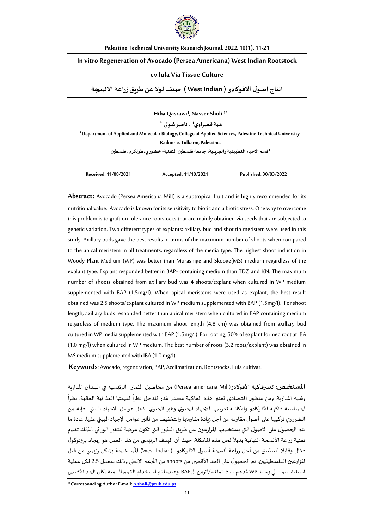

**Palestine Technical University Research Journal, 2022, 10(1), 11-21**

### **In vitro Regeneration of Avocado (Persea Americana) West Indian Rootstock**

### **cv.lula Via Tissue Culture**

**انتاج اصول الفوكادو ) Indian West ) صنف لولعن طريق زراعةالنسجة**

**Hiba Qasrawi<sup>1</sup> , Nasser Sholi 1\***

**هبةقصراوي<sup>1</sup> ، ناصر شولي1\***

**1 Department of Applied and Molecular Biology, College of Applied Sciences, Palestine Technical University-Kadoorie, Tulkarm, Palestine.**

**<sup>1</sup>قسم الحياء التطبيقية والجزيئية، جامعة قلسطين التقنية- خضوري،طولكرم .فلسطين**

**Received: 11/08/2021 Accepted: 11/10/2021 Published: 30/03/2022**

**Abstract:** Avocado (Persea Americana Mill) is a subtropical fruit and is highly recommended for its nutritional value. Avocado is known for its sensitivityto biotic and a biotic stress. One way to overcome this problem is to graft on tolerance rootstocks that are mainly obtained via seeds that are subjected to genetic variation.Two different types of explants: axillary bud and shot tip meristem were used in this study. Axillary buds gave the best results in terms of the maximum number of shoots when compared to the apical meristem in all treatments, regardless of the media type. The highest shoot induction in Woody Plant Medium (WP) was better than Murashige and Skooge(MS) medium regardless of the explant type. Explant responded better in BAP- containing medium than TDZ and KN. The maximum number of shoots obtained from axillary bud was 4 shoots/explant when cultured in WP medium supplemented with BAP (1.5mg/l). When apical meristems were used as explant, the best result obtained was 2.5 shoots/explant cultured in WP medium supplemented with BAP (1.5mg/l). For shoot length, axillary buds responded better than apical meristem when cultured in BAP containing medium regardless of medium type. The maximum shoot length (4.8 cm) was obtained from axillary bud cultured in WP media supplemented with BAP (1.5mg/l). For rooting, 50% of explant formed root at IBA (1.0 mg/l) when cultured in WP medium. The best number of roots (3.2 roots/explant) was obtained in MS medium supplemented with IBA (1.0 mg/l).

**Keywords**: Avocado, regeneration, BAP, Acclimatization, Rootstocks. Lula cultivar.

**املستخلص:** تعتبرفاكهة األفوكادو(Mill americana Persea (من محاصيل الثمار الرئيسية في البلدان املدارية وشبه المدارية. ومن منظور اقتصادي تعتبر هذه الفاكهة مصدر مُدر للدخل نظراً لقيمتها الغذائية العالية. نظراً ً ؚ<br>؞ ً لحساسية فاكهة الأفوكادو وامكانية تعرضها للاجهاد الحيوي وغير الحيوي بفعل عوامل الإجهاد البيئي، فإنه من الضروري تركيبها على أصول مقاومه من أجل زيادة مقاومتها والتخفيف من تأثير عوامل الإجهاد البيئي عليها. عادة ما يتم الحصول على الصول التي يستخدمها املزارعون عن طريق البذور التي تكون عرضة للتغير الوراثي .لذلك تقدم تقنية زراعة الأنسجة النباتية بديلاً لحل هذه المشكلة. حيث أن الهدف الرئيسي من هذا العمل هو إيجاد بروتوكول ً فعّال وقابلا للتطبيق من أجل زراعة أنسجة أصول الافوكادو (West Indian) المُستخدمة بشكل رئيسي من قبل ֦֧֦֧ ۔<br>' المزارعين الفلسطينيين. تم الحصول على الحد الأقصى من shoots من البُرعم الإبطي وذلك بمعدل 2.5 لكل عملية ُ ُاستنبات تمت في وسط WP مُدعم ب 1.5ملغم/لترمن الBAP. وعندما تم استخدام القمم النامية ،كان الحد الأقصى

**\* Corresponding AuthorE-mail: [n.sholi@ptuk.edu.ps](mailto:n.sholi@ptuk.edu.ps)**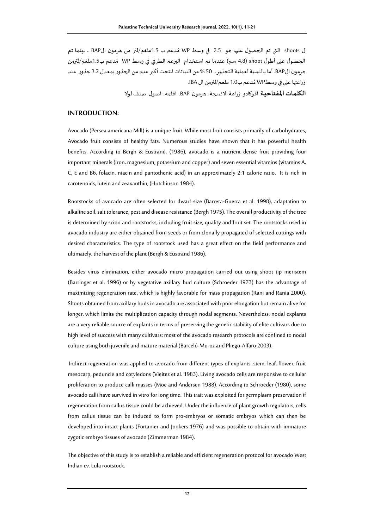ل shoots التي تم الحصول عليها هو 2.5 في وسط WP مُدعم ب 1.5ملغم/لتر من هرمون الBAP ، بينما تم ر<br>م الحصول على أطول shoot (4.8 سم) عندما تم استخدام البرعم الطرفي في وسط WP مُدعم ب1.5ملغم/لترمن ُ هرمون الBAP. أما بالنسبة لعملية التجذير، 50 % من النباتات انتجت أكبر عددمن الجذوربمعدل 3.2 جذور عند زراعتها على في وسطـWP مُدعم ب1.0 ملغم/لترمن ال IBA. ر<br>م

**الكلمات املفتاحية**: افوكادو.زراعةالنسجة. هرمون BAP. اقلمه. اصول. صنف لول

## **INTRODUCTION:**

Avocado (Persea americana Mill) is a unique fruit. While most fruit consists primarily of carbohydrates, Avocado fruit consists of healthy fats. Numerous studies have shown that it has powerful health benefits. According to Bergh & Eustrand, (1986), avocado is a nutrient dense fruit providing four important minerals (iron, magnesium, potassium and copper) and seven essential vitamins (vitamins A, C, E and B6, folacin, niacin and pantothenic acid) in an approximately 2:1 calorie ratio. It is rich in carotenoids, lutein and zeaxanthin, (Hutchinson 1984).

Rootstocks of avocado are often selected for dwarf size (Barrera-Guerra et al. 1998), adaptation to alkaline soil, salt tolerance, pest and disease resistance (Bergh 1975). The overall productivity of the tree is determined by scion and rootstocks, including fruit size, quality and fruit set. The rootstocks used in avocado industry are either obtained from seeds or from clonally propagated of selected cuttings with desired characteristics. The type of rootstock used has a great effect on the field performance and ultimately, the harvest of the plant (Bergh & Eustrand 1986).

Besides virus elimination, either avocado micro propagation carried out using shoot tip meristem (Barringer et al. 1996) or by vegetative axillary bud culture (Schroeder 1973) has the advantage of maximizing regeneration rate, which is highly favorable for mass propagation (Rani and Rania 2000). Shoots obtained from axillary buds in avocado are associated with poor elongation but remain alive for longer, which limits the multiplication capacity through nodal segments. Nevertheless, nodal explants are a very reliable source of explants in terms of preserving the genetic stability of elite cultivars due to high level of success with many cultivars; most of the avocado research protocols are confined to nodal culture using both juvenile and mature material (Barceló-Mu-oz and Pliego-Alfaro 2003).

Indirect regeneration was applied to avocado from different types of explants: stem, leaf, flower, fruit mesocarp, peduncle and cotyledons (Vieitez et al. 1983). Living avocado cells are responsive to cellular proliferation to produce calli masses (Moe and Andersen 1988). According to Schroeder (1980), some avocado calli have survived in vitro for long time. This trait was exploited for germplasm preservation if regeneration from callus tissue could be achieved. Under the influence of plant growth regulators, cells from callus tissue can be induced to form pro-embryos or somatic embryos which can then be developed into intact plants (Fortanier and Jonkers 1976) and was possible to obtain with immature zygotic embryo tissues of avocado (Zimmerman 1984).

The objective of this study is to establish a reliable and efficient regeneration protocol for avocado West Indian cv. Lula rootstock.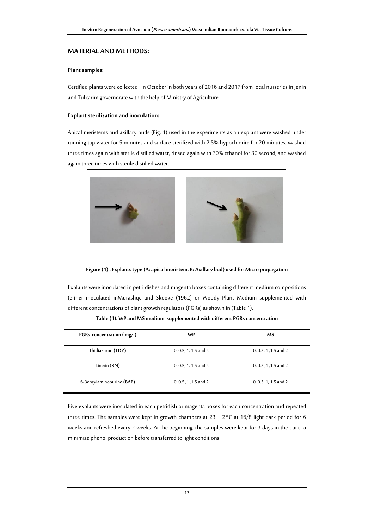## **MATERIAL AND METHODS:**

### **Plant samples**:

Certified plants were collected in October in both years of 2016 and 2017 from local nurseries in Jenin and Tulkarim governorate with the help of Ministry of Agriculture

### **Explant sterilization and inoculation:**

Apical meristems and axillary buds (Fig. 1) used in the experiments as an explant were washed under running tap water for 5 minutes and surface sterilized with 2.5% hypochlorite for 20 minutes, washed three times again with sterile distilled water, rinsed again with 70% ethanol for 30 second, and washed again three times with sterile distilled water.





Explants were inoculated in petri dishes and magenta boxes containing different medium compositions (either inoculated inMurashqe and Skooge (1962) or Woody Plant Medium supplemented with different concentrations of plant growth regulators (PGRs) as shown in (Table 1).

| PGRs concentration (mg/l) | WP                     | <b>MS</b>              |
|---------------------------|------------------------|------------------------|
| Thidiazuron (TDZ)         | $0, 0.5, 1, 1.5$ and 2 | $0, 0.5, 1, 1.5$ and 2 |
| kinetin (KN)              | $0, 0.5, 1, 1.5$ and 2 | 0, 0.5, 1, 1.5 and 2   |
| 6-Benzylaminopurine (BAP) | 0, 0.5, 1, 1.5 and 2   | $0, 0.5, 1, 1.5$ and 2 |

**Table (1). WP and MS medium supplemented with different PGRs concentration**

Five explants were inoculated in each petridish or magenta boxes for each concentration and repeated three times. The samples were kept in growth champers at  $23 \pm 2^{\circ}$ C at 16/8 light dark period for 6 weeks and refreshed every 2 weeks. At the beginning, the samples were kept for 3 days in the dark to minimize phenol production before transferred to light conditions.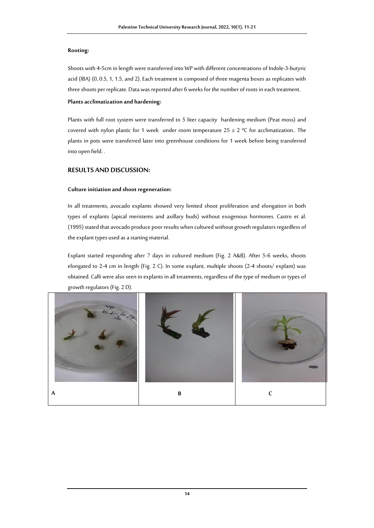## **Rooting:**

Shoots with 4-5cm in length were transferred into WP with different concentrations of Indole-3-butyric acid (IBA) (0, 0.5, 1, 1.5, and 2). Each treatment is composed of three magenta boxes as replicates with three shoots per replicate. Data was reported after 6 weeks for the number of roots in each treatment.

## **Plantsacclimatization and hardening:**

Plants with full root system were transferred to 5 liter capacity hardening medium (Peat moss) and covered with nylon plastic for 1 week under room temperature  $25 \pm 2$  °C for acclimatization.. The plants in pots were transferred later into greenhouse conditions for 1 week before being transferred into open field. .

# **RESULTS AND DISCUSSION:**

## **Culture initiation and shoot regeneration:**

In all treatments, avocado explants showed very limited shoot proliferation and elongation in both types of explants (apical meristems and axillary buds) without exogenous hormones. Castro et al. (1995) stated that avocado produce poor results when cultured without growth regulators regardless of the explant types used as a starting material.

Explant started responding after 7 days in cultured medium (Fig. 2 A&B). After 5-6 weeks, shoots elongated to 2-4 cm in length (Fig. 2 C). In some explant, multiple shoots (2-4 shoots/ explant) was obtained. Calli were also seen in explants in all treatments, regardless of the type of medium or types of growth regulators (Fig. 2 D).

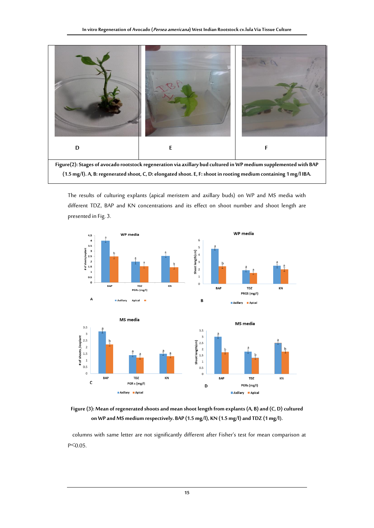

**Figure(2): Stages of avocado rootstock regeneration via axillary bud cultured in WP medium supplemented with BAP (1.5 mg/l). A, B: regenerated shoot, C, D: elongated shoot. E, F: shoot in rooting medium containing 1 mg/l IBA.**

The results of culturing explants (apical meristem and axillary buds) on WP and MS media with different TDZ, BAP and KN concentrations and its effect on shoot number and shoot length are presented in Fig. 3.



**Figure (3): Mean of regenerated shoots and mean shoot length from explants (A, B) and (C, D) cultured on WP and MS medium respectively. BAP (1.5 mg/l), KN (1.5 mg/l) and TDZ (1 mg/l).** 

 columns with same letter are not significantly different after Fisher's test for mean comparison at P˂0.05.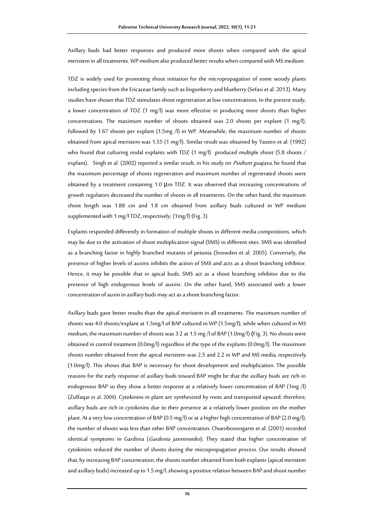Axillary buds had better responses and produced more shoots when compared with the apical meristem in all treatments. WP medium also produced better results when compared with MS medium.

TDZ is widely used for promoting shoot initiation for the micropropagation of some woody plants including species from the Ericaceae family such as lingonberry and blueberry (Sefasi et al. 2013). Many studies have shown that TDZ stimulates shoot regeneration at low concentrations. In the present study, a lower concentration of TDZ (1 mg/l) was more effective in producing more shoots than higher concentrations. The maximum number of shoots obtained was 2.0 shoots per explant (1 mg/l), followed by 1.67 shoots per explant (1.5mg /l) in WP. Meanwhile, the maximum number of shoots obtained from apical meristem was 1.55 (1 mg/l). Similar result was obtained b[y Yaseen e](http://hortsci.ashspublications.org/search?author1=Yaseen+Mohamed-Yaseen&sortspec=date&submit=Submit)t al. (1992) who found that culturing nodal explants with TDZ (1 mg/l) produced multiple shoot (5.8 shoots / explant). Singh et al. (2002) reported a similar result, in his study on *Psidium guajava*, he found that the maximum percentage of shoots regeneration and maximum number of regenerated shoots were obtained by a treatment containing 1.0 μm TDZ. It was observed that increasing concentrations of growth regulators decreased the number of shoots in all treatments. On the other hand, the maximum shoot length was 1.88 cm and 1.8 cm obtained from axillary buds cultured in WP medium supplemented with 1 mg/l TDZ, respectively. (1mg/l) (Fig. 3).

Explants responded differently in formation of multiple shoots in different media compositions, which may be due to the activation of shoot multiplication signal (SMS) in different sites. SMS was identified as a branching factor in highly branched mutants of petunia (Snowden et al. 2005). Conversely, the presence of higher levels of auxins inhibits the action of SMS and acts as a shoot branching inhibitor. Hence, it may be possible that in apical buds, SMS act as a shoot branching inhibitor due to the presence of high endogenous levels of auxins. On the other hand, SMS associated with a lower concentration of auxin in axillary buds may act as a shoot branching factor.

Axillary buds gave better results than the apical meristem in all treatments. The maximum number of shoots was 4.0 shoots/explant at 1.5mg/l of BAP cultured in WP (1.5mg/l); while when cultured in MS medium, the maximum number of shoots was 3.2 at 1.5 mg /l of BAP (1.0mg/l) **(**Fig. 3). No shoots were obtained in control treatment (0.0mg/l) regardless of the type of the explants (0.0mg/l). The maximum shoots number obtained from the apical meristem was 2.5 and 2.2 in WP and MS media, respectively (1.0mg/l). This shows that BAP is necessary for shoot development and multiplication. The possible reasons for the early response of axillary buds toward BAP might be that the axillary buds are rich in endogenous BAP so they show a better response at a relatively lower concentration of BAP (1mg /l) (Zulfaqar et al. 2009). Cytokinins in plant are synthesized by roots and transported upward; therefore, axillary buds are rich in cytokinins due to their presence at a relatively lower position on the mother plant. At a very low concentration of BAP (0.5 mg/l) or at a higher high concentration of BAP (2.0 mg/l), the number of shoots was less than other BAP concentration. Chuenboonngarm et al. (2001) recorded identical symptoms in Gardinia (Gardenia jasminoides). They stated that higher concentration of cytokinins reduced the number of shoots during the micropropagation process. Our results showed that, by increasing BAP concentration, the shoots number obtained from both explants (apical meristem and axillary buds) increased up to 1.5 mg/l, showing a positive relation between BAP and shoot number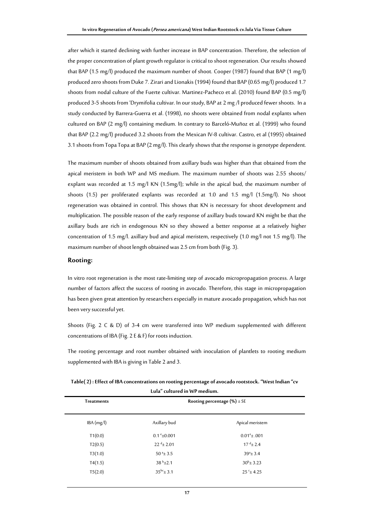after which it started declining with further increase in BAP concentration. Therefore, the selection of the proper concentration of plant growth regulator is critical to shoot regeneration. Our results showed that BAP (1.5 mg/l) produced the maximum number of shoot. Cooper (1987) found that BAP (1 mg/l) produced zero shoots from Duke 7. Zirari and Lionakis (1994) found that BAP (0.65 mg/l) produced 1.7 shoots from nodal culture of the Fuerte cultivar. Martinez-Pacheco et al. (2010) found BAP (0.5 mg/l) produced 3-5 shoots from 'Drymifolia cultivar. In our study, BAP at 2 mg /l produced fewer shoots. In a study conducted by Barrera-Guerra et al. (1998), no shoots were obtained from nodal explants when cultured on BAP (2 mg/l) containing medium. In contrary to Barceló-Muñoz et al. (1999) who found that BAP (2.2 mg/l) produced 3.2 shoots from the Mexican IV-8 cultivar. Castro, et al (1995) obtained 3.1 shoots from Topa Topa at BAP (2 mg/l). This clearly shows that the response is genotype dependent.

The maximum number of shoots obtained from axillary buds was higher than that obtained from the apical meristem in both WP and MS medium. The maximum number of shoots was 2.55 shoots/ explant was recorded at 1.5 mg/l KN (1.5mg/l); while in the apical bud, the maximum number of shoots (1.5) per proliferated explants was recorded at 1.0 and 1.5 mg/l (1.5mg/l). No shoot regeneration was obtained in control. This shows that KN is necessary for shoot development and multiplication. The possible reason of the early response of axillary buds toward KN might be that the axillary buds are rich in endogenous KN so they showed a better response at a relatively higher concentration of 1.5 mg/l. axillary bud and apical meristem, respectively (1.0 mg/l not 1.5 mg/l). The maximum number of shoot length obtained was 2.5 cm from both (Fig. 3).

### **Rooting:**

In vitro root regeneration is the most rate-limiting step of avocado micropropagation process. A large number of factors affect the success of rooting in avocado. Therefore, this stage in micropropagation has been given great attention by researchers especially in mature avocado propagation, which has not been very successful yet.

Shoots (Fig. 2 C & D) of 3-4 cm were transferred into WP medium supplemented with different concentrations of IBA (Fig. 2 E & F) for roots induction.

The rooting percentage and root number obtained with inoculation of plantlets to rooting medium supplemented with IBA is giving in Table 2 and 3.

| Lula" cultured in WP medium.<br>Rooting percentage $(\%) \pm SE$<br><b>Treatments</b> |                            |                   |  |  |
|---------------------------------------------------------------------------------------|----------------------------|-------------------|--|--|
| IBA(mg/l)                                                                             | Axillary bud               | Apical meristem   |  |  |
| T1(0.0)                                                                               | $0.1 \text{ }^e \pm 0.001$ | $0.01^e \pm .001$ |  |  |
| T2(0.5)                                                                               | $22^{d}$ ± 2.01            | $17^{d}$ ± 2.4    |  |  |
| T3(1.0)                                                                               | $50^{\text{ a}}$ ± 3.5     | $39^a \pm 3.4$    |  |  |
| T4(1.5)                                                                               | 38 $b_{\pm}$ 2.1           | $30^{b}$ ± 3.23   |  |  |
| T5(2.0)                                                                               | $35^{bc}$ ± 3.1            | $25 \div 4.25$    |  |  |

**Table( 2) : Effect of IBA concentrations on rooting percentage of avocado rootstock. "West Indian "cv**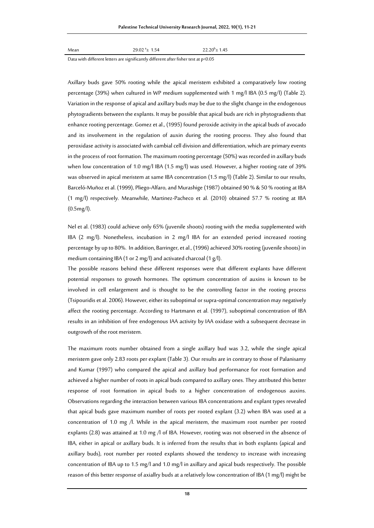| Mean | $29.02 + 1.54$ | $22.20^{b} \pm 1.45$ |
|------|----------------|----------------------|
|      |                |                      |

Data with different letters are significantly different after fisher test at p<0.05

Axillary buds gave 50% rooting while the apical meristem exhibited a comparatively low rooting percentage (39%) when cultured in WP medium supplemented with 1 mg/l IBA (0.5 mg/l) (Table 2). Variation in the response of apical and axillary buds may be due to the slight change in the endogenous phytogradients between the explants. It may be possible that apical buds are rich in phytogradients that enhance rooting percentage. Gomez et al., (1995) found peroxide activity in the apical buds of avocado and its involvement in the regulation of auxin during the rooting process. They also found that peroxidase activity is associated with cambial cell division and differentiation, which are primary events in the process of root formation. The maximum rooting percentage (50%) was recorded in axillary buds when low concentration of 1.0 mg/l IBA (1.5 mg/l) was used. However, a higher rooting rate of 39% was observed in apical meristem at same IBA concentration (1.5 mg/l) (Table 2). Similar to our results, Barceló-Muñoz et al. (1999), Pliego-Alfaro, and Murashige (1987) obtained 90 % & 50 % rooting at IBA (1 mg/l) respectively. Meanwhile, Martinez-Pacheco et al. (2010) obtained 57.7 % rooting at IBA (0.5mg/l).

Nel et al. (1983) could achieve only 65% (juvenile shoots) rooting with the media supplemented with IBA (2 mg/l). Nonetheless, incubation in 2 mg/l IBA for an extended period increased rooting percentage by up to 80%. In addition, Barringer, et al., (1996) achieved 30% rooting (juvenile shoots) in medium containing IBA (1 or 2 mg/l) and activated charcoal (1 g/l).

The possible reasons behind these different responses were that different explants have different potential responses to growth hormones. The optimum concentration of auxins is known to be involved in cell enlargement and is thought to be the controlling factor in the rooting process (Tsipouridis et al. 2006). However, either its suboptimal or supra-optimal concentration may negatively affect the rooting percentage. According to Hartmann et al. (1997), suboptimal concentration of IBA results in an inhibition of free endogenous IAA activity by IAA oxidase with a subsequent decrease in outgrowth of the root meristem.

The maximum roots number obtained from a single axillary bud was 3.2, while the single apical meristem gave only 2.83 roots per explant (Table 3). Our results are in contrary to those of Palanisamy and Kumar (1997) who compared the apical and axillary bud performance for root formation and achieved a higher number of roots in apical buds compared to axillary ones. They attributed this better response of root formation in apical buds to a higher concentration of endogenous auxins. Observations regarding the interaction between various IBA concentrations and explant types revealed that apical buds gave maximum number of roots per rooted explant (3.2) when IBA was used at a concentration of 1.0 mg /l. While in the apical meristem, the maximum root number per rooted explants (2.8) was attained at 1.0 mg /l of IBA. However, rooting was not observed in the absence of IBA, either in apical or axillary buds. It is inferred from the results that in both explants (apical and axillary buds), root number per rooted explants showed the tendency to increase with increasing concentration of IBA up to 1.5 mg/l and 1.0 mg/l in axillary and apical buds respectively. The possible reason of this better response of axiallry buds at a relatively low concentration of IBA (1 mg/l) might be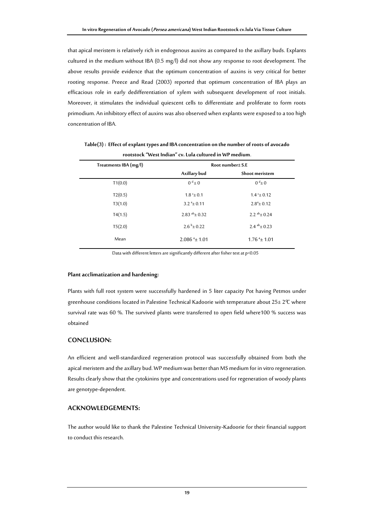that apical meristem is relatively rich in endogenous auxins as compared to the axillary buds. Explants cultured in the medium without IBA (0.5 mg/l) did not show any response to root development. The above results provide evidence that the optimum concentration of auxins is very critical for better rooting response. Preece and Read (2003) reported that optimum concentration of IBA plays an efficacious role in early dedifferentiation of xylem with subsequent development of root initials. Moreover, it stimulates the individual quiescent cells to differentiate and proliferate to form roots primodium. An inhibitoryeffect of auxins was also observed when explants were exposed to a too high concentration of IBA.

| Treatments IBA (mg/l) | Root number± S.E          |                             |  |  |
|-----------------------|---------------------------|-----------------------------|--|--|
|                       | Axillary bud              | Shoot meristem              |  |  |
| T1(0.0)               | $0^d \pm 0$               | $0^d \pm 0$                 |  |  |
| T2(0.5)               | $1.8^{\circ} \pm 0.1$     | $1.4 \pm 0.12$              |  |  |
| T3(1.0)               | $3.2^{\text{a}} \pm 0.11$ | $2.8^a \pm 0.12$            |  |  |
| T4(1.5)               | 2.83 $ab_ \pm 0.32$       | 2.2 $ab_{\pm}$ 0.24         |  |  |
| T5(2.0)               | $2.6^{b} \pm 0.22$        | 2.4 $ab_ \pm 0.23$          |  |  |
| Mean                  | $2.086^{a}$ ± 1.01        | $1.76^{\text{ a}} \pm 1.01$ |  |  |

**Table(3) : Effect of explant types and IBA concentration on the number of roots of avocado rootstock "West Indian" cv. Lula cultured in WP medium**.

Data with different letters are significantly different after fisher test at p<0.05

#### **Plant acclimatization and hardening:**

Plants with full root system were successfully hardened in 5 liter capacity Pot having Petmos under greenhouse conditions located in Palestine Technical Kadoorie with temperature about  $25\pm 2\text{°C}$  where survival rate was 60 %. The survived plants were transferred to open field where100 % success was obtained

# **CONCLUSION:**

An efficient and well-standardized regeneration protocol was successfully obtained from both the apical meristem and the axillary bud. WP medium was better than MS medium for in vitro regeneration. Results clearly show that the cytokinins type and concentrations used for regeneration of woody plants are genotype-dependent.

## **ACKNOWLEDGEMENTS:**

The author would like to thank the Palestine Technical University-Kadoorie for their financial support to conduct this research.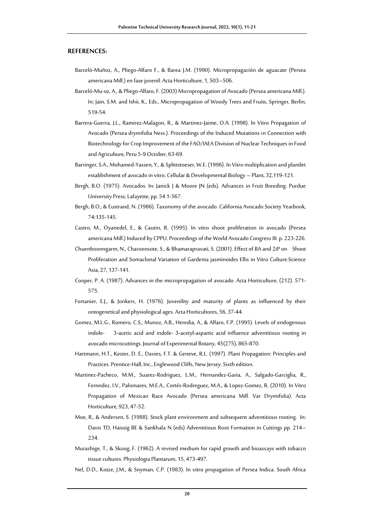## **REFERENCES:**

- Barceló-Muñoz, A., Pliego-Alfaro F., & Barea J.M. (1990). Micropropagación de aguacate (Persea americana Mill.) en fase juvenil. Acta Horticulture, 1, 503–506.
- Barceló-Mu-oz, A., & Pliego-Alfaro, F. (2003) Micropropagation of Avocado (Persea americana Mill.). In: Jain, S.M. and Ishii, K., Eds., Micropropagation of Woody Trees and Fruits, Springer, Berlin, 519-54.
- Barrera-Guerra, J.L., Ramirez-Malagon, R., & Martinez-Jaime, O.A. (1998). In Vitro Propagation of Avocado (Persea drymifolia Ness.). Proceedings of the Induced Mutations in Connection with Biotechnology for Crop Improvement of the FAO/IAEA Division of Nuclear Techniques in Food and Agriculture, Peru 5-9 October, 63-69.
- Barringer, S.A., Mohamed-Yassen, Y., & Splittstoeser, W.E. (1996). In Vitro multiplication and plantlet establishment of avocado in vitro. Cellular & Developmental Biology – Plant, 32,119-121.
- Bergh, B.O. (1975). Avocados. In: Janick J & Moore JN (eds). Advances in Fruit Breeding. Purdue University Press, Lafayette, pp. 54 1-567.
- Bergh, B.O., & Eustrand, N. (1986). Taxonomy of the avocado. California Avocado Society Yearbook, 74:135-145.
- Castro, M., Oyanedel, E., & Cautin, R. (1995). In vitro shoot proliferation in avocado (Persea americana Mill.) Induced by CPPU. Proceedings of the World Avocado Congress III. p. 223-226.
- Chuenboonngarm, N., Charoonsote, S., & Bhamarapravati, S. (2001). Effect of BA and 2iP on Shoot Proliferation and Somaclonal Variation of Gardenia jasminoides Ellis in Vitro Culture.Science Asia, 27, 137-141.
- Cooper, P. A. (1987). Advances in the micropropagation of avocado. Acta Horticulture, (212). 571- 575.
- Fortanier, E.J., & Jonkers, H. (1976). Juvenility and maturity of plants as influenced by their ontogenetical and physiological ages. Acta Horticultores, 56, 37-44.
- Gomez, M.L.G., Romero, C.S., Munoz, A.B., Heredia, A., & Alfaro, F.P. (1995). Levels of endogenous indole- 3-acetic acid and indole- 3-acetyl-aspartic acid influence adventitious rooting in avocado microcuttings. Journal of Experimental Botany, 45(275), 865-870.
- Hartmann, H.T., Kester, D. E., Davies, F.T. & Geneve, R.L. (1997). Plant Propagation: Principles and Practices. Prentice-Hall, Inc., Englewood Cliffs, New Jersey. Sixth edition.
- Martinez-Pacheco, M.M., Suarez-Rodriguez, L.M., Hernandez-Garia, A., Salgado-Garciglia, R., Fernndez, I.V., Palomares, M.E.A., Cortés-Rodreguez, M.A., & Lopez-Gomez, R. (2010). In Vitro Propagation of Mexican Race Avocado (Persea americana Mill. Var Drymifolia). Acta Horticulture, 923, 47-52.
- Moe, R., & Andersen, S. (1988). Stock plant environment and subsequent adventitious rooting. In: Davis TD, Haissig BE & Sankhala N (eds) Adventitious Root Formation in Cuttings pp. 214– 234.
- Murashige, T., & Skoog, F. (1962). A revised medium for rapid growth and bioassays with tobacco tissue cultures. Physiologia Plantarum, 15, 473-497.
- Nel, D.D., Kotze, J.M., & Snyman, C.P. (1983). In vitro propagation of Persea Indica. South Africa